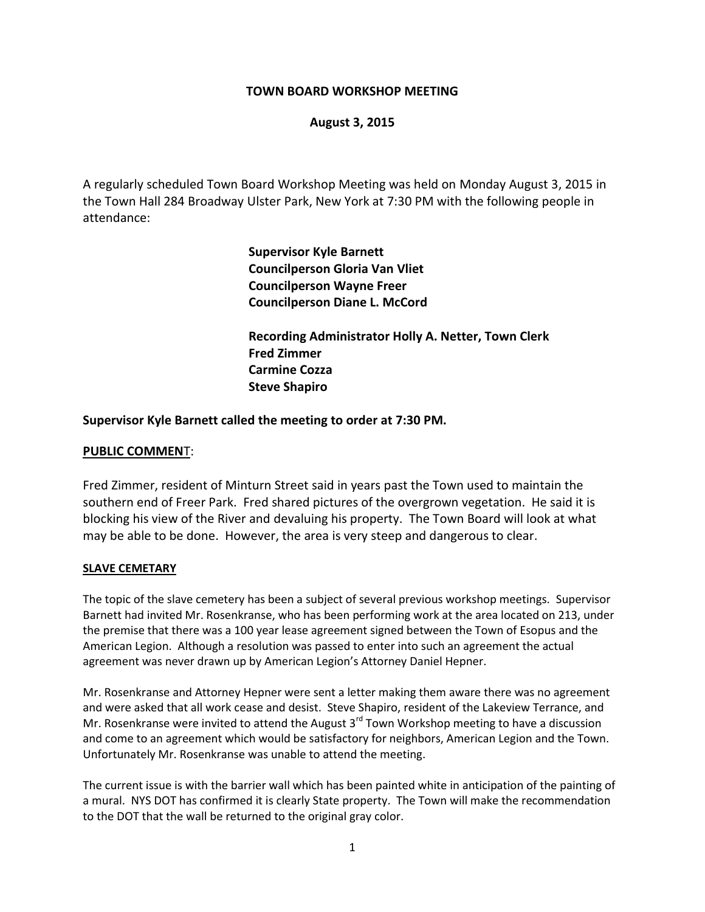#### **TOWN BOARD WORKSHOP MEETING**

#### **August 3, 2015**

A regularly scheduled Town Board Workshop Meeting was held on Monday August 3, 2015 in the Town Hall 284 Broadway Ulster Park, New York at 7:30 PM with the following people in attendance:

> **Supervisor Kyle Barnett Councilperson Gloria Van Vliet Councilperson Wayne Freer Councilperson Diane L. McCord**

**Recording Administrator Holly A. Netter, Town Clerk Fred Zimmer Carmine Cozza Steve Shapiro**

#### **Supervisor Kyle Barnett called the meeting to order at 7:30 PM.**

#### **PUBLIC COMMEN**T:

Fred Zimmer, resident of Minturn Street said in years past the Town used to maintain the southern end of Freer Park. Fred shared pictures of the overgrown vegetation. He said it is blocking his view of the River and devaluing his property. The Town Board will look at what may be able to be done. However, the area is very steep and dangerous to clear.

#### **SLAVE CEMETARY**

The topic of the slave cemetery has been a subject of several previous workshop meetings. Supervisor Barnett had invited Mr. Rosenkranse, who has been performing work at the area located on 213, under the premise that there was a 100 year lease agreement signed between the Town of Esopus and the American Legion. Although a resolution was passed to enter into such an agreement the actual agreement was never drawn up by American Legion's Attorney Daniel Hepner.

Mr. Rosenkranse and Attorney Hepner were sent a letter making them aware there was no agreement and were asked that all work cease and desist. Steve Shapiro, resident of the Lakeview Terrance, and Mr. Rosenkranse were invited to attend the August  $3<sup>rd</sup>$  Town Workshop meeting to have a discussion and come to an agreement which would be satisfactory for neighbors, American Legion and the Town. Unfortunately Mr. Rosenkranse was unable to attend the meeting.

The current issue is with the barrier wall which has been painted white in anticipation of the painting of a mural. NYS DOT has confirmed it is clearly State property. The Town will make the recommendation to the DOT that the wall be returned to the original gray color.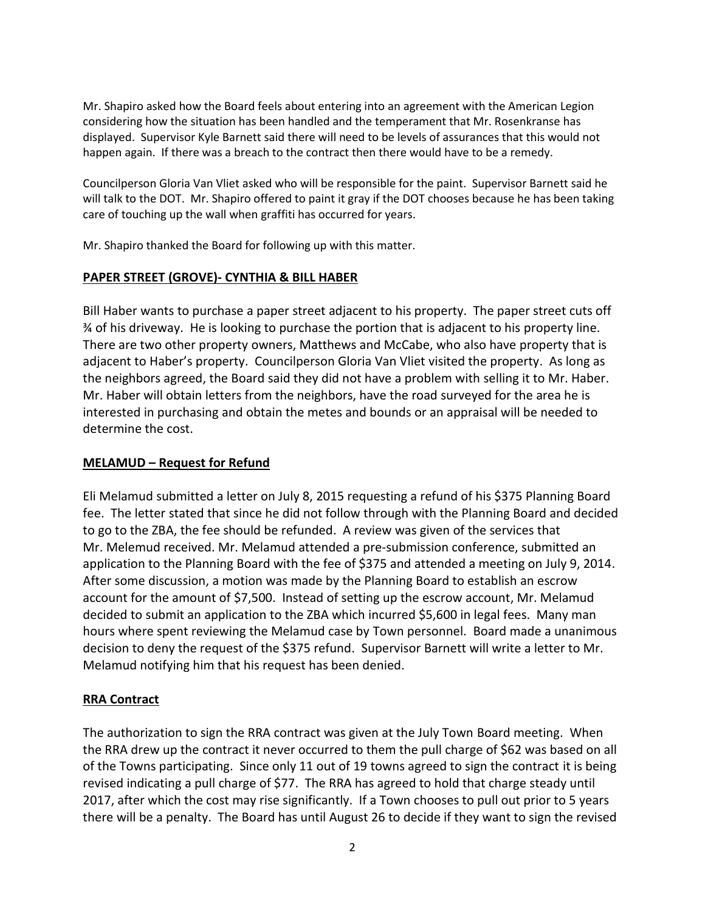Mr. Shapiro asked how the Board feels about entering into an agreement with the American Legion considering how the situation has been handled and the temperament that Mr. Rosenkranse has displayed. Supervisor Kyle Barnett said there will need to be levels of assurances that this would not happen again. If there was a breach to the contract then there would have to be a remedy.

Councilperson Gloria Van Vliet asked who will be responsible for the paint. Supervisor Barnett said he will talk to the DOT. Mr. Shapiro offered to paint it gray if the DOT chooses because he has been taking care of touching up the wall when graffiti has occurred for years.

Mr. Shapiro thanked the Board for following up with this matter.

# **PAPER STREET (GROVE)- CYNTHIA & BILL HABER**

Bill Haber wants to purchase a paper street adjacent to his property. The paper street cuts off ¾ of his driveway. He is looking to purchase the portion that is adjacent to his property line. There are two other property owners, Matthews and McCabe, who also have property that is adjacent to Haber's property. Councilperson Gloria Van Vliet visited the property. As long as the neighbors agreed, the Board said they did not have a problem with selling it to Mr. Haber. Mr. Haber will obtain letters from the neighbors, have the road surveyed for the area he is interested in purchasing and obtain the metes and bounds or an appraisal will be needed to determine the cost.

### **MELAMUD – Request for Refund**

Eli Melamud submitted a letter on July 8, 2015 requesting a refund of his \$375 Planning Board fee. The letter stated that since he did not follow through with the Planning Board and decided to go to the ZBA, the fee should be refunded. A review was given of the services that Mr. Melemud received. Mr. Melamud attended a pre-submission conference, submitted an application to the Planning Board with the fee of \$375 and attended a meeting on July 9, 2014. After some discussion, a motion was made by the Planning Board to establish an escrow account for the amount of \$7,500. Instead of setting up the escrow account, Mr. Melamud decided to submit an application to the ZBA which incurred \$5,600 in legal fees. Many man hours where spent reviewing the Melamud case by Town personnel. Board made a unanimous decision to deny the request of the \$375 refund. Supervisor Barnett will write a letter to Mr. Melamud notifying him that his request has been denied.

# **RRA Contract**

The authorization to sign the RRA contract was given at the July Town Board meeting. When the RRA drew up the contract it never occurred to them the pull charge of \$62 was based on all of the Towns participating. Since only 11 out of 19 towns agreed to sign the contract it is being revised indicating a pull charge of \$77. The RRA has agreed to hold that charge steady until 2017, after which the cost may rise significantly. If a Town chooses to pull out prior to 5 years there will be a penalty. The Board has until August 26 to decide if they want to sign the revised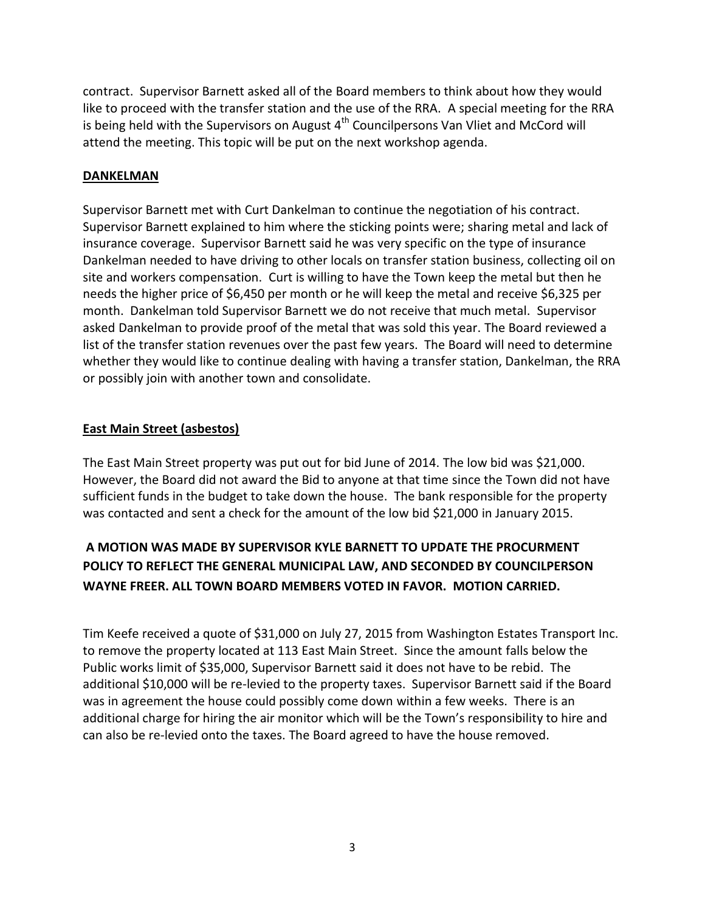contract. Supervisor Barnett asked all of the Board members to think about how they would like to proceed with the transfer station and the use of the RRA. A special meeting for the RRA is being held with the Supervisors on August  $4<sup>th</sup>$  Councilpersons Van Vliet and McCord will attend the meeting. This topic will be put on the next workshop agenda.

#### **DANKELMAN**

Supervisor Barnett met with Curt Dankelman to continue the negotiation of his contract. Supervisor Barnett explained to him where the sticking points were; sharing metal and lack of insurance coverage. Supervisor Barnett said he was very specific on the type of insurance Dankelman needed to have driving to other locals on transfer station business, collecting oil on site and workers compensation. Curt is willing to have the Town keep the metal but then he needs the higher price of \$6,450 per month or he will keep the metal and receive \$6,325 per month. Dankelman told Supervisor Barnett we do not receive that much metal. Supervisor asked Dankelman to provide proof of the metal that was sold this year. The Board reviewed a list of the transfer station revenues over the past few years. The Board will need to determine whether they would like to continue dealing with having a transfer station, Dankelman, the RRA or possibly join with another town and consolidate.

### **East Main Street (asbestos)**

The East Main Street property was put out for bid June of 2014. The low bid was \$21,000. However, the Board did not award the Bid to anyone at that time since the Town did not have sufficient funds in the budget to take down the house. The bank responsible for the property was contacted and sent a check for the amount of the low bid \$21,000 in January 2015.

# **A MOTION WAS MADE BY SUPERVISOR KYLE BARNETT TO UPDATE THE PROCURMENT POLICY TO REFLECT THE GENERAL MUNICIPAL LAW, AND SECONDED BY COUNCILPERSON WAYNE FREER. ALL TOWN BOARD MEMBERS VOTED IN FAVOR. MOTION CARRIED.**

Tim Keefe received a quote of \$31,000 on July 27, 2015 from Washington Estates Transport Inc. to remove the property located at 113 East Main Street. Since the amount falls below the Public works limit of \$35,000, Supervisor Barnett said it does not have to be rebid. The additional \$10,000 will be re-levied to the property taxes. Supervisor Barnett said if the Board was in agreement the house could possibly come down within a few weeks. There is an additional charge for hiring the air monitor which will be the Town's responsibility to hire and can also be re-levied onto the taxes. The Board agreed to have the house removed.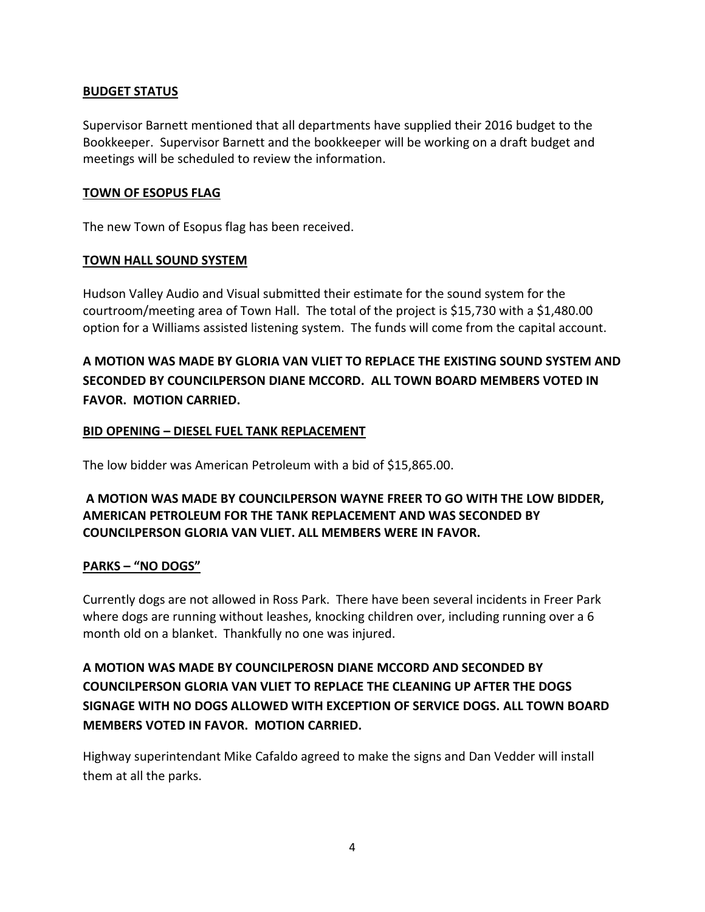### **BUDGET STATUS**

Supervisor Barnett mentioned that all departments have supplied their 2016 budget to the Bookkeeper. Supervisor Barnett and the bookkeeper will be working on a draft budget and meetings will be scheduled to review the information.

# **TOWN OF ESOPUS FLAG**

The new Town of Esopus flag has been received.

# **TOWN HALL SOUND SYSTEM**

Hudson Valley Audio and Visual submitted their estimate for the sound system for the courtroom/meeting area of Town Hall. The total of the project is \$15,730 with a \$1,480.00 option for a Williams assisted listening system. The funds will come from the capital account.

# **A MOTION WAS MADE BY GLORIA VAN VLIET TO REPLACE THE EXISTING SOUND SYSTEM AND SECONDED BY COUNCILPERSON DIANE MCCORD. ALL TOWN BOARD MEMBERS VOTED IN FAVOR. MOTION CARRIED.**

# **BID OPENING – DIESEL FUEL TANK REPLACEMENT**

The low bidder was American Petroleum with a bid of \$15,865.00.

# **A MOTION WAS MADE BY COUNCILPERSON WAYNE FREER TO GO WITH THE LOW BIDDER, AMERICAN PETROLEUM FOR THE TANK REPLACEMENT AND WAS SECONDED BY COUNCILPERSON GLORIA VAN VLIET. ALL MEMBERS WERE IN FAVOR.**

# **PARKS – "NO DOGS"**

Currently dogs are not allowed in Ross Park. There have been several incidents in Freer Park where dogs are running without leashes, knocking children over, including running over a 6 month old on a blanket. Thankfully no one was injured.

# **A MOTION WAS MADE BY COUNCILPEROSN DIANE MCCORD AND SECONDED BY COUNCILPERSON GLORIA VAN VLIET TO REPLACE THE CLEANING UP AFTER THE DOGS SIGNAGE WITH NO DOGS ALLOWED WITH EXCEPTION OF SERVICE DOGS. ALL TOWN BOARD MEMBERS VOTED IN FAVOR. MOTION CARRIED.**

Highway superintendant Mike Cafaldo agreed to make the signs and Dan Vedder will install them at all the parks.